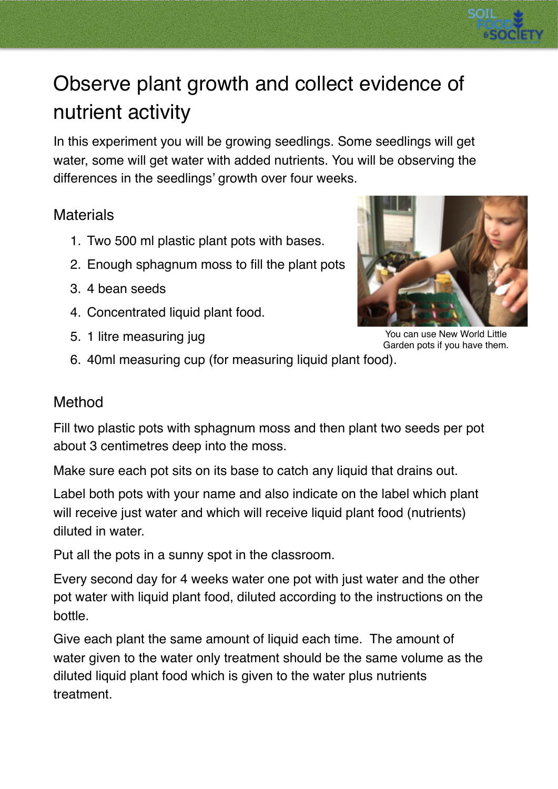

## Observe plant growth and collect evidence of nutrient activity

In this experiment you will be growing seedlings. Some seedlings will get water, some will get water with added nutrients. You will be observing the differences in the seedlings' growth over four weeks.

## **Materials**

- 1. Two 500 ml plastic plant pots with bases.
- 2. Enough sphagnum moss to fill the plant pots
- 3. 4 bean seeds
- 4. Concentrated liquid plant food.
- 5. 1 litre measuring jug



You can use New World Little Garden pots if you have them.

6. 40ml measuring cup (for measuring liquid plant food).

## Method

Fill two plastic pots with sphagnum moss and then plant two seeds per pot about 3 centimetres deep into the moss.

Make sure each pot sits on its base to catch any liquid that drains out.

Label both pots with your name and also indicate on the label which plant will receive just water and which will receive liquid plant food (nutrients) diluted in water.

Put all the pots in a sunny spot in the classroom.

Every second day for 4 weeks water one pot with just water and the other pot water with liquid plant food, diluted according to the instructions on the bottle.

Give each plant the same amount of liquid each time. The amount of water given to the water only treatment should be the same volume as the diluted liquid plant food which is given to the water plus nutrients treatment.